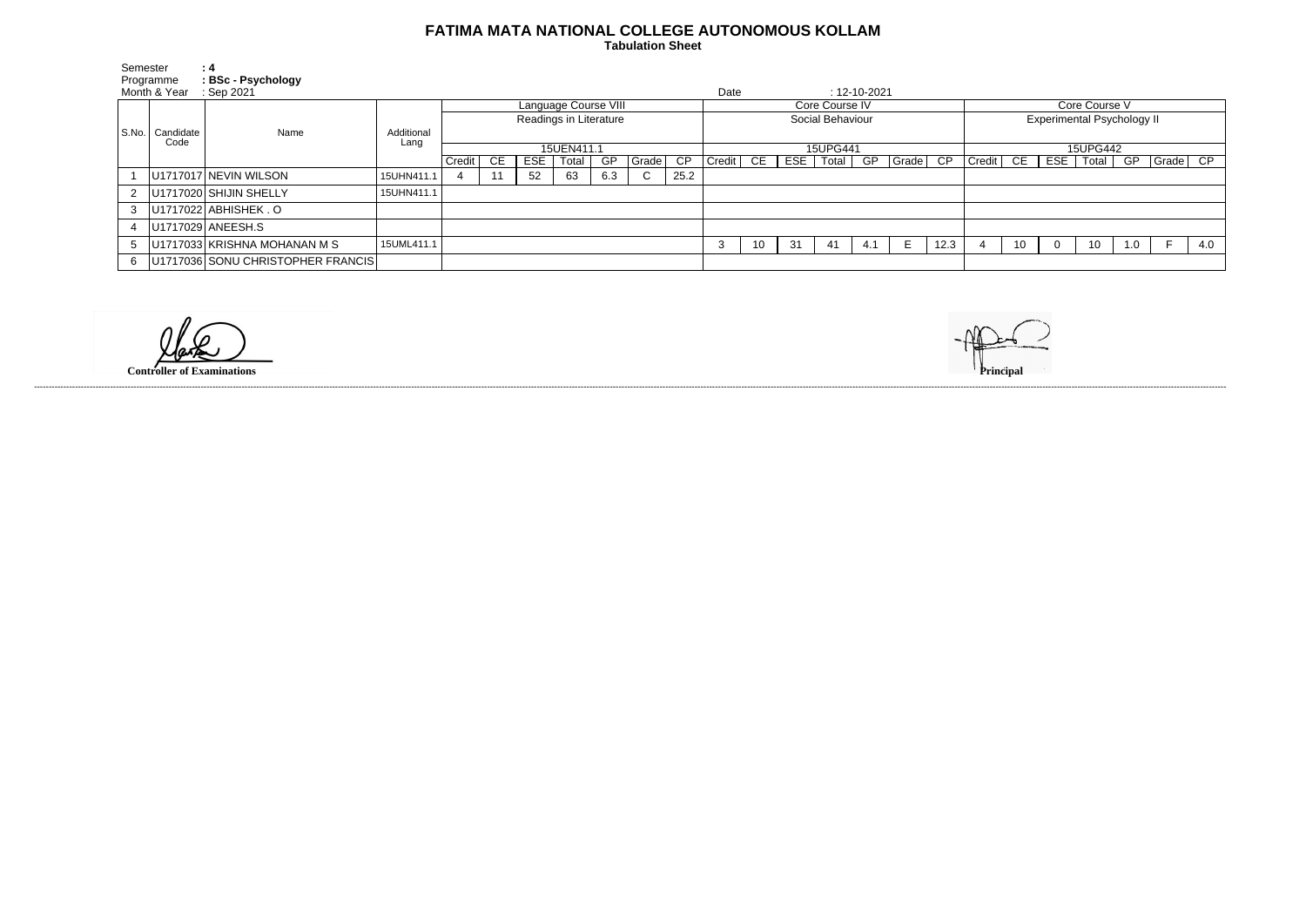## **FATIMA MATA NATIONAL COLLEGE AUTONOMOUS KOLLAM**

 **Tabulation Sheet** 

| Semester                  |                   | : 4                               |                    |                        |    |            |       |     |             |                 |                  |    |     |       |                    |                           |          |                                   |               |     |       |     |             |     |
|---------------------------|-------------------|-----------------------------------|--------------------|------------------------|----|------------|-------|-----|-------------|-----------------|------------------|----|-----|-------|--------------------|---------------------------|----------|-----------------------------------|---------------|-----|-------|-----|-------------|-----|
| Programme<br>Month & Year |                   | : BSc - Psychology<br>Sep 2021    |                    |                        |    |            |       |     |             |                 | Date             |    |     |       | $: 12 - 10 - 2021$ |                           |          |                                   |               |     |       |     |             |     |
|                           |                   |                                   |                    | Language Course VIII   |    |            |       |     |             |                 | Core Course IV   |    |     |       |                    |                           |          |                                   | Core Course V |     |       |     |             |     |
|                           |                   | Name                              |                    | Readings in Literature |    |            |       |     |             |                 | Social Behaviour |    |     |       |                    |                           |          | <b>Experimental Psychology II</b> |               |     |       |     |             |     |
|                           | S.No.   Candidate |                                   | Additional<br>Lang |                        |    |            |       |     |             |                 |                  |    |     |       |                    |                           |          |                                   |               |     |       |     |             |     |
|                           | Code              |                                   |                    | 15UEN411.1             |    |            |       |     |             | 15UPG441        |                  |    |     |       |                    |                           | 15UPG442 |                                   |               |     |       |     |             |     |
|                           |                   |                                   |                    | Credit I               | CE | <b>ESE</b> | Total | GP  | Grade       | $\overline{CP}$ | Credit           | CE | ESE | Total | GP                 | $ Grade $ $\overline{CP}$ |          | Credit                            | CE.           | ESE | Total |     | GP Grade CP |     |
|                           |                   | U1717017 NEVIN WILSON             | 15UHN411.1         |                        |    | 52         | 63    | 6.3 | $\sim$<br>◡ | 25.2            |                  |    |     |       |                    |                           |          |                                   |               |     |       |     |             |     |
| 2                         |                   | U1717020 SHIJIN SHELLY            | 15UHN411.1         |                        |    |            |       |     |             |                 |                  |    |     |       |                    |                           |          |                                   |               |     |       |     |             |     |
| 3                         |                   | U1717022 ABHISHEK . O             |                    |                        |    |            |       |     |             |                 |                  |    |     |       |                    |                           |          |                                   |               |     |       |     |             |     |
|                           |                   | U1717029 ANEESH.S                 |                    |                        |    |            |       |     |             |                 |                  |    |     |       |                    |                           |          |                                   |               |     |       |     |             |     |
| 5                         |                   | U1717033 KRISHNA MOHANAN M S      | 15UML411.1         |                        |    |            |       |     |             |                 |                  | 10 | 31  | 41    | 4.1                | E                         | 12.3     |                                   | 10            |     | 10    | 1.0 |             | 4.0 |
| 6                         |                   | U1717036 SONU CHRISTOPHER FRANCIS |                    |                        |    |            |       |     |             |                 |                  |    |     |       |                    |                           |          |                                   |               |     |       |     |             |     |

**Controller of Examinations Principal**

------------------------------------------------------------------------------------------------------------------------------------------------------------------------------------------------------------------------------------------------------------------------------------------------------------------------------------------------------------------------------------------------------------------------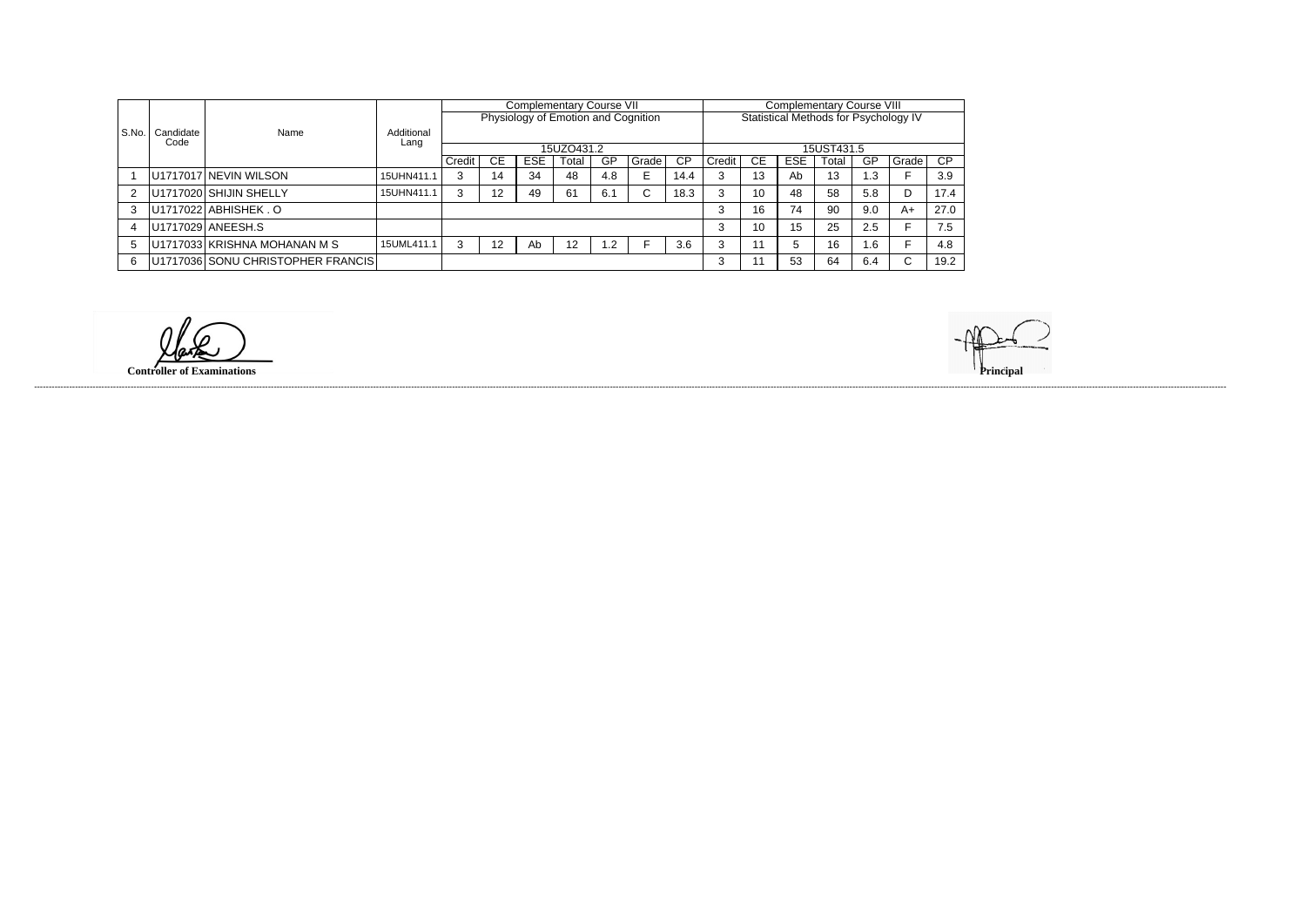|       |                   | Name                              |                    | <b>Complementary Course VII</b>     |     |            |            |     |        |      |            | <b>Complementary Course VIII</b>      |     |       |     |       |      |  |  |
|-------|-------------------|-----------------------------------|--------------------|-------------------------------------|-----|------------|------------|-----|--------|------|------------|---------------------------------------|-----|-------|-----|-------|------|--|--|
| S.No. |                   |                                   |                    | Physiology of Emotion and Cognition |     |            |            |     |        |      |            | Statistical Methods for Psychology IV |     |       |     |       |      |  |  |
|       | Candidate<br>Code |                                   | Additional<br>Lang |                                     |     |            |            |     |        |      |            |                                       |     |       |     |       |      |  |  |
|       |                   |                                   |                    |                                     |     |            | 15UZO431.2 |     |        |      | 15UST431.5 |                                       |     |       |     |       |      |  |  |
|       |                   |                                   |                    | Credit                              | CE. | <b>ESE</b> | Total      | GP  | Grade  | CP   | Credit     | <b>CE</b>                             | ESE | Гоtal | GP  | Grade | CP.  |  |  |
|       |                   | U1717017 NEVIN WILSON             | 15UHN411.1         | 3                                   | 14  | 34         | 48         | 4.8 |        | 14.4 |            | 13                                    | Ab  | 13    | 1.3 |       | 3.9  |  |  |
| 2     |                   | U1717020 SHIJIN SHELLY            | 15UHN411.1         | 3                                   | 12  | 49         | 61         | 6.1 | ⌒<br>U | 18.3 |            | 10                                    | 48  | 58    | 5.8 | D     | 17.4 |  |  |
| 3     |                   | U1717022 ABHISHEK . O             |                    |                                     |     |            |            |     |        |      |            | 16                                    | 74  | 90    | 9.0 | A+    | 27.0 |  |  |
| 4     |                   | U1717029 ANEESH.S                 |                    |                                     |     |            |            |     |        |      |            | 10                                    | 15  | 25    | 2.5 |       | 7.5  |  |  |
| 5     |                   | U1717033 KRISHNA MOHANAN M S      | 15UML411.1         | 3                                   | 12  | Ab         | 12         | 1.2 |        | 3.6  |            |                                       | 5   | 16    | 1.6 |       | 4.8  |  |  |
| 6     |                   | U1717036 SONU CHRISTOPHER FRANCIS |                    |                                     |     |            |            |     |        |      |            |                                       | 53  | 64    | 6.4 | C.    | 19.2 |  |  |

**Controller of Examinations Principal**

------------------------------------------------------------------------------------------------------------------------------------------------------------------------------------------------------------------------------------------------------------------------------------------------------------------------------------------------------------------------------------------------------------------------